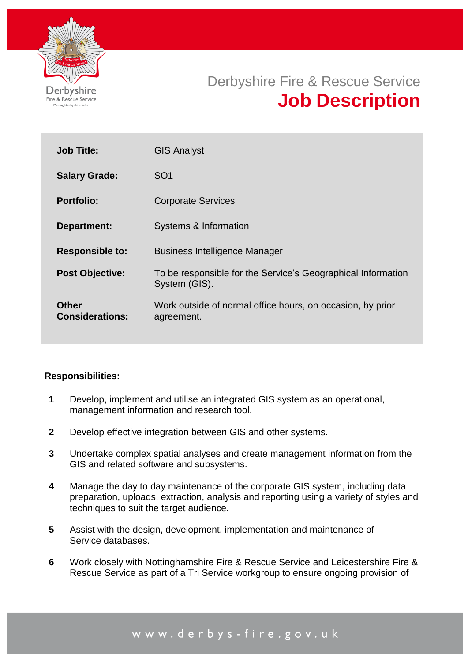

# Derbyshire Fire & Rescue Service **Job Description**

| <b>Job Title:</b>                      | <b>GIS Analyst</b>                                                            |
|----------------------------------------|-------------------------------------------------------------------------------|
| <b>Salary Grade:</b>                   | SO <sub>1</sub>                                                               |
| <b>Portfolio:</b>                      | <b>Corporate Services</b>                                                     |
| Department:                            | Systems & Information                                                         |
| <b>Responsible to:</b>                 | <b>Business Intelligence Manager</b>                                          |
| <b>Post Objective:</b>                 | To be responsible for the Service's Geographical Information<br>System (GIS). |
| <b>Other</b><br><b>Considerations:</b> | Work outside of normal office hours, on occasion, by prior<br>agreement.      |

### **Responsibilities:**

- **1** Develop, implement and utilise an integrated GIS system as an operational, management information and research tool.
- **2** Develop effective integration between GIS and other systems.
- **3** Undertake complex spatial analyses and create management information from the GIS and related software and subsystems.
- **4** Manage the day to day maintenance of the corporate GIS system, including data preparation, uploads, extraction, analysis and reporting using a variety of styles and techniques to suit the target audience.
- **5** Assist with the design, development, implementation and maintenance of Service databases.
- **6** Work closely with Nottinghamshire Fire & Rescue Service and Leicestershire Fire & Rescue Service as part of a Tri Service workgroup to ensure ongoing provision of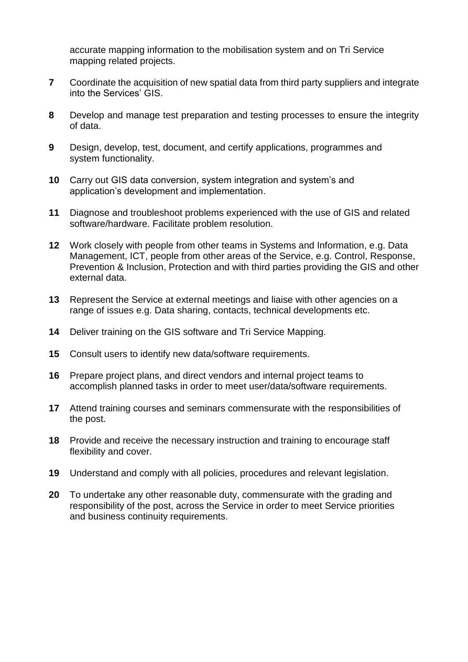accurate mapping information to the mobilisation system and on Tri Service mapping related projects.

- **7** Coordinate the acquisition of new spatial data from third party suppliers and integrate into the Services' GIS.
- **8** Develop and manage test preparation and testing processes to ensure the integrity of data.
- **9** Design, develop, test, document, and certify applications, programmes and system functionality.
- **10** Carry out GIS data conversion, system integration and system's and application's development and implementation.
- **11** Diagnose and troubleshoot problems experienced with the use of GIS and related software/hardware. Facilitate problem resolution.
- **12** Work closely with people from other teams in Systems and Information, e.g. Data Management, ICT, people from other areas of the Service, e.g. Control, Response, Prevention & Inclusion, Protection and with third parties providing the GIS and other external data.
- **13** Represent the Service at external meetings and liaise with other agencies on a range of issues e.g. Data sharing, contacts, technical developments etc.
- **14** Deliver training on the GIS software and Tri Service Mapping.
- **15** Consult users to identify new data/software requirements.
- **16** Prepare project plans, and direct vendors and internal project teams to accomplish planned tasks in order to meet user/data/software requirements.
- **17** Attend training courses and seminars commensurate with the responsibilities of the post.
- **18** Provide and receive the necessary instruction and training to encourage staff flexibility and cover.
- **19** Understand and comply with all policies, procedures and relevant legislation.
- **20** To undertake any other reasonable duty, commensurate with the grading and responsibility of the post, across the Service in order to meet Service priorities and business continuity requirements.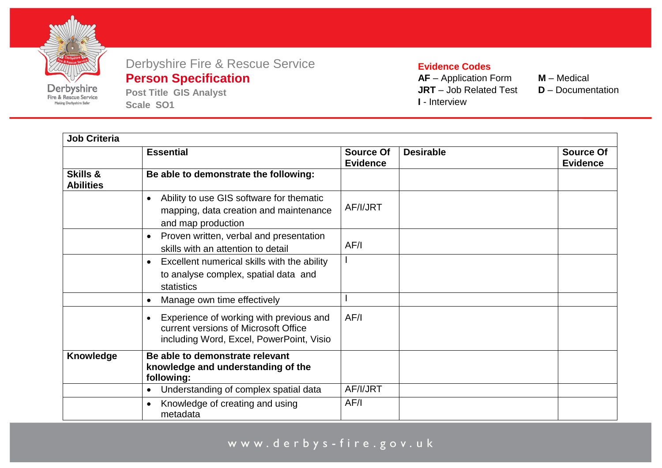

### Derbyshire Fire & Rescue Service **Person Specification**

**Post Title GIS Analyst Scale SO1**

#### **Evidence Codes**

**AF** – Application Form **M** – Medical **JRT** – Job Related Test **I** - Interview

- 
- 

| <b>Job Criteria</b>          |                                                                                                                               |                                     |                  |                                     |
|------------------------------|-------------------------------------------------------------------------------------------------------------------------------|-------------------------------------|------------------|-------------------------------------|
|                              | <b>Essential</b>                                                                                                              | <b>Source Of</b><br><b>Evidence</b> | <b>Desirable</b> | <b>Source Of</b><br><b>Evidence</b> |
| Skills &<br><b>Abilities</b> | Be able to demonstrate the following:                                                                                         |                                     |                  |                                     |
|                              | Ability to use GIS software for thematic<br>$\bullet$<br>mapping, data creation and maintenance<br>and map production         | AF/I/JRT                            |                  |                                     |
|                              | Proven written, verbal and presentation<br>$\bullet$<br>skills with an attention to detail                                    | AF/I                                |                  |                                     |
|                              | Excellent numerical skills with the ability<br>$\bullet$<br>to analyse complex, spatial data and<br>statistics                |                                     |                  |                                     |
|                              | Manage own time effectively<br>$\bullet$                                                                                      |                                     |                  |                                     |
|                              | • Experience of working with previous and<br>current versions of Microsoft Office<br>including Word, Excel, PowerPoint, Visio | AF/I                                |                  |                                     |
| <b>Knowledge</b>             | Be able to demonstrate relevant<br>knowledge and understanding of the<br>following:                                           |                                     |                  |                                     |
|                              | Understanding of complex spatial data<br>$\bullet$                                                                            | AF/I/JRT                            |                  |                                     |
|                              | Knowledge of creating and using<br>$\bullet$<br>metadata                                                                      | AF/I                                |                  |                                     |

## www.derbys-fire.gov.uk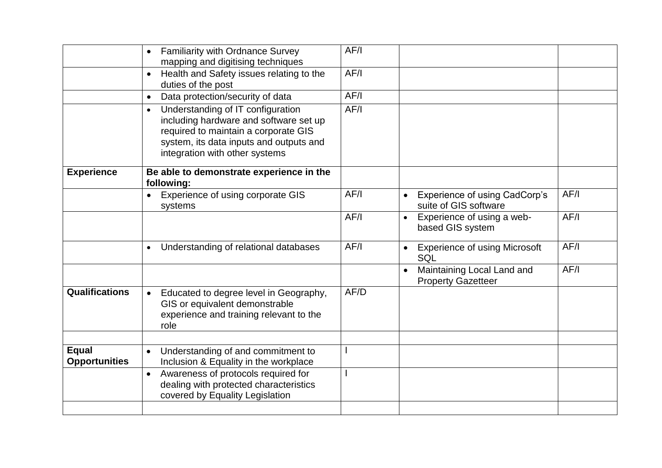|                                      | <b>Familiarity with Ordnance Survey</b><br>$\bullet$<br>mapping and digitising techniques                                                                                                                     | AF/I |                                                                 |      |
|--------------------------------------|---------------------------------------------------------------------------------------------------------------------------------------------------------------------------------------------------------------|------|-----------------------------------------------------------------|------|
|                                      | Health and Safety issues relating to the<br>duties of the post                                                                                                                                                | AF/I |                                                                 |      |
|                                      | Data protection/security of data<br>$\bullet$                                                                                                                                                                 | AF/I |                                                                 |      |
|                                      | Understanding of IT configuration<br>$\bullet$<br>including hardware and software set up<br>required to maintain a corporate GIS<br>system, its data inputs and outputs and<br>integration with other systems | AF/I |                                                                 |      |
| <b>Experience</b>                    | Be able to demonstrate experience in the<br>following:                                                                                                                                                        |      |                                                                 |      |
|                                      | Experience of using corporate GIS<br>$\bullet$<br>systems                                                                                                                                                     | AF/I | <b>Experience of using CadCorp's</b><br>suite of GIS software   | AF/I |
|                                      |                                                                                                                                                                                                               | AF/I | Experience of using a web-<br>$\bullet$<br>based GIS system     | AF/I |
|                                      | Understanding of relational databases                                                                                                                                                                         | AF/I | <b>Experience of using Microsoft</b><br>$\bullet$<br><b>SQL</b> | AF/I |
|                                      |                                                                                                                                                                                                               |      | Maintaining Local Land and<br><b>Property Gazetteer</b>         | AF/I |
| <b>Qualifications</b>                | Educated to degree level in Geography,<br>GIS or equivalent demonstrable<br>experience and training relevant to the<br>role                                                                                   | AF/D |                                                                 |      |
|                                      |                                                                                                                                                                                                               |      |                                                                 |      |
| <b>Equal</b><br><b>Opportunities</b> | Understanding of and commitment to<br>$\bullet$<br>Inclusion & Equality in the workplace                                                                                                                      |      |                                                                 |      |
|                                      | Awareness of protocols required for<br>$\bullet$<br>dealing with protected characteristics<br>covered by Equality Legislation                                                                                 |      |                                                                 |      |
|                                      |                                                                                                                                                                                                               |      |                                                                 |      |